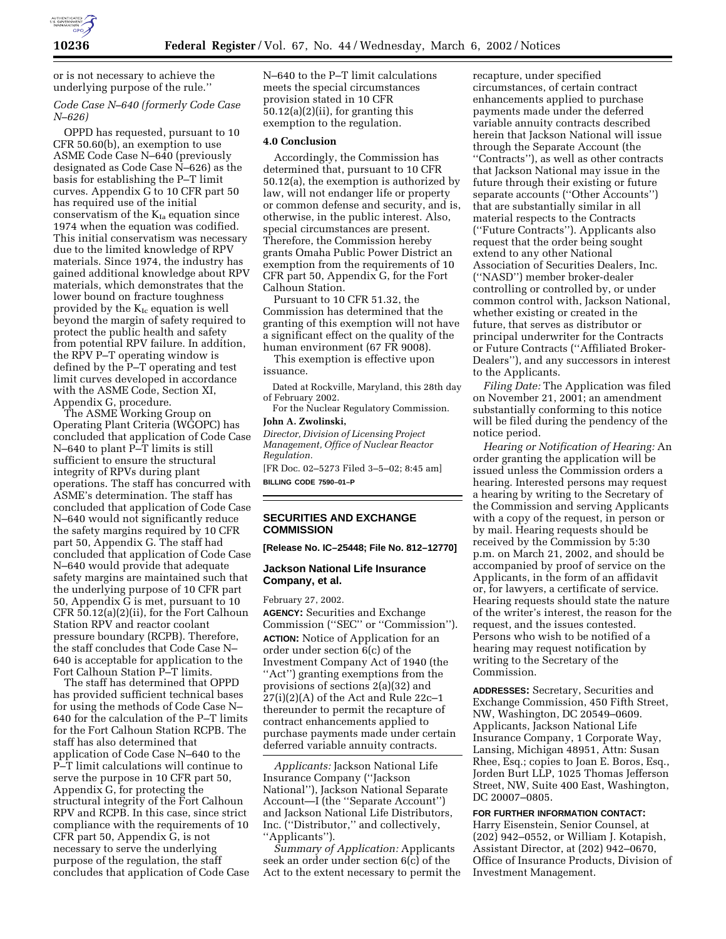

or is not necessary to achieve the underlying purpose of the rule.''

# *Code Case N–640 (formerly Code Case N–626)*

OPPD has requested, pursuant to 10 CFR 50.60(b), an exemption to use ASME Code Case N–640 (previously designated as Code Case N–626) as the basis for establishing the P–T limit curves. Appendix G to 10 CFR part 50 has required use of the initial conservatism of the  $K_{Ia}$  equation since 1974 when the equation was codified. This initial conservatism was necessary due to the limited knowledge of RPV materials. Since 1974, the industry has gained additional knowledge about RPV materials, which demonstrates that the lower bound on fracture toughness provided by the  $K_{Ic}$  equation is well beyond the margin of safety required to protect the public health and safety from potential RPV failure. In addition, the RPV P–T operating window is defined by the P–T operating and test limit curves developed in accordance with the ASME Code, Section XI, Appendix G, procedure.

The ASME Working Group on Operating Plant Criteria (WGOPC) has concluded that application of Code Case N–640 to plant P–T limits is still sufficient to ensure the structural integrity of RPVs during plant operations. The staff has concurred with ASME's determination. The staff has concluded that application of Code Case N–640 would not significantly reduce the safety margins required by 10 CFR part 50, Appendix G. The staff had concluded that application of Code Case N–640 would provide that adequate safety margins are maintained such that the underlying purpose of 10 CFR part 50, Appendix G is met, pursuant to 10 CFR 50.12(a)(2)(ii), for the Fort Calhoun Station RPV and reactor coolant pressure boundary (RCPB). Therefore, the staff concludes that Code Case N– 640 is acceptable for application to the Fort Calhoun Station P–T limits.

The staff has determined that OPPD has provided sufficient technical bases for using the methods of Code Case N– 640 for the calculation of the P–T limits for the Fort Calhoun Station RCPB. The staff has also determined that application of Code Case N–640 to the P–T limit calculations will continue to serve the purpose in 10 CFR part 50, Appendix G, for protecting the structural integrity of the Fort Calhoun RPV and RCPB. In this case, since strict compliance with the requirements of 10 CFR part 50, Appendix G, is not necessary to serve the underlying purpose of the regulation, the staff concludes that application of Code Case N–640 to the P–T limit calculations meets the special circumstances provision stated in 10 CFR 50.12(a)(2)(ii), for granting this exemption to the regulation.

#### **4.0 Conclusion**

Accordingly, the Commission has determined that, pursuant to 10 CFR 50.12(a), the exemption is authorized by law, will not endanger life or property or common defense and security, and is, otherwise, in the public interest. Also, special circumstances are present. Therefore, the Commission hereby grants Omaha Public Power District an exemption from the requirements of 10 CFR part 50, Appendix G, for the Fort Calhoun Station.

Pursuant to 10 CFR 51.32, the Commission has determined that the granting of this exemption will not have a significant effect on the quality of the human environment (67 FR 9008).

This exemption is effective upon issuance.

Dated at Rockville, Maryland, this 28th day of February 2002.

For the Nuclear Regulatory Commission. **John A. Zwolinski,**

*Director, Division of Licensing Project Management, Office of Nuclear Reactor Regulation.*

[FR Doc. 02–5273 Filed 3–5–02; 8:45 am] **BILLING CODE 7590–01–P**

# **SECURITIES AND EXCHANGE COMMISSION**

**[Release No. IC–25448; File No. 812–12770]**

### **Jackson National Life Insurance Company, et al.**

February 27, 2002.

**AGENCY:** Securities and Exchange Commission (''SEC'' or ''Commission''). **ACTION:** Notice of Application for an order under section 6(c) of the Investment Company Act of 1940 (the ''Act'') granting exemptions from the provisions of sections 2(a)(32) and  $27(i)(2)(A)$  of the Act and Rule 22c-1 thereunder to permit the recapture of contract enhancements applied to purchase payments made under certain deferred variable annuity contracts.

*Applicants:* Jackson National Life Insurance Company (''Jackson National''), Jackson National Separate Account—I (the ''Separate Account'') and Jackson National Life Distributors, Inc. (''Distributor,'' and collectively, ''Applicants'').

*Summary of Application:* Applicants seek an order under section 6(c) of the Act to the extent necessary to permit the recapture, under specified circumstances, of certain contract enhancements applied to purchase payments made under the deferred variable annuity contracts described herein that Jackson National will issue through the Separate Account (the ''Contracts''), as well as other contracts that Jackson National may issue in the future through their existing or future separate accounts (''Other Accounts'') that are substantially similar in all material respects to the Contracts (''Future Contracts''). Applicants also request that the order being sought extend to any other National Association of Securities Dealers, Inc. (''NASD'') member broker-dealer controlling or controlled by, or under common control with, Jackson National, whether existing or created in the future, that serves as distributor or principal underwriter for the Contracts or Future Contracts (''Affiliated Broker-Dealers''), and any successors in interest to the Applicants.

*Filing Date:* The Application was filed on November 21, 2001; an amendment substantially conforming to this notice will be filed during the pendency of the notice period.

*Hearing or Notification of Hearing:* An order granting the application will be issued unless the Commission orders a hearing. Interested persons may request a hearing by writing to the Secretary of the Commission and serving Applicants with a copy of the request, in person or by mail. Hearing requests should be received by the Commission by 5:30 p.m. on March 21, 2002, and should be accompanied by proof of service on the Applicants, in the form of an affidavit or, for lawyers, a certificate of service. Hearing requests should state the nature of the writer's interest, the reason for the request, and the issues contested. Persons who wish to be notified of a hearing may request notification by writing to the Secretary of the Commission.

**ADDRESSES:** Secretary, Securities and Exchange Commission, 450 Fifth Street, NW, Washington, DC 20549–0609. Applicants, Jackson National Life Insurance Company, 1 Corporate Way, Lansing, Michigan 48951, Attn: Susan Rhee, Esq.; copies to Joan E. Boros, Esq., Jorden Burt LLP, 1025 Thomas Jefferson Street, NW, Suite 400 East, Washington, DC 20007–0805.

## **FOR FURTHER INFORMATION CONTACT:**

Harry Eisenstein, Senior Counsel, at (202) 942–0552, or William J. Kotapish, Assistant Director, at (202) 942–0670, Office of Insurance Products, Division of Investment Management.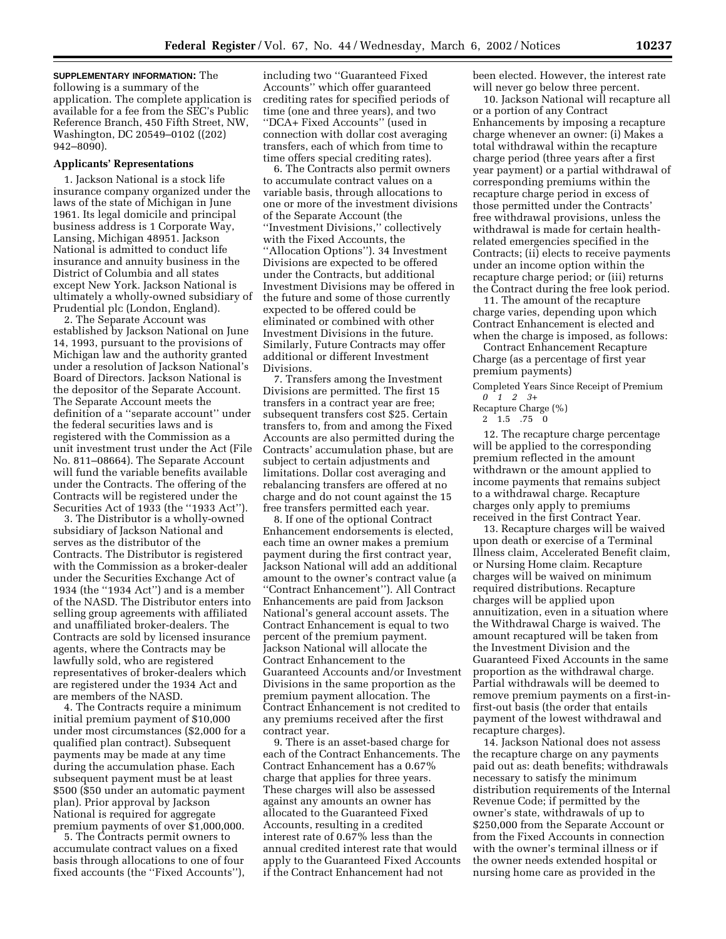# **SUPPLEMENTARY INFORMATION:** The

following is a summary of the application. The complete application is available for a fee from the SEC's Public Reference Branch, 450 Fifth Street, NW, Washington, DC 20549–0102 ((202) 942–8090).

#### **Applicants' Representations**

1. Jackson National is a stock life insurance company organized under the laws of the state of Michigan in June 1961. Its legal domicile and principal business address is 1 Corporate Way, Lansing, Michigan 48951. Jackson National is admitted to conduct life insurance and annuity business in the District of Columbia and all states except New York. Jackson National is ultimately a wholly-owned subsidiary of Prudential plc (London, England).

2. The Separate Account was established by Jackson National on June 14, 1993, pursuant to the provisions of Michigan law and the authority granted under a resolution of Jackson National's Board of Directors. Jackson National is the depositor of the Separate Account. The Separate Account meets the definition of a ''separate account'' under the federal securities laws and is registered with the Commission as a unit investment trust under the Act (File No. 811–08664). The Separate Account will fund the variable benefits available under the Contracts. The offering of the Contracts will be registered under the Securities Act of 1933 (the "1933 Act").

3. The Distributor is a wholly-owned subsidiary of Jackson National and serves as the distributor of the Contracts. The Distributor is registered with the Commission as a broker-dealer under the Securities Exchange Act of 1934 (the ''1934 Act'') and is a member of the NASD. The Distributor enters into selling group agreements with affiliated and unaffiliated broker-dealers. The Contracts are sold by licensed insurance agents, where the Contracts may be lawfully sold, who are registered representatives of broker-dealers which are registered under the 1934 Act and are members of the NASD.

4. The Contracts require a minimum initial premium payment of \$10,000 under most circumstances (\$2,000 for a qualified plan contract). Subsequent payments may be made at any time during the accumulation phase. Each subsequent payment must be at least \$500 (\$50 under an automatic payment plan). Prior approval by Jackson National is required for aggregate premium payments of over \$1,000,000.

5. The Contracts permit owners to accumulate contract values on a fixed basis through allocations to one of four fixed accounts (the ''Fixed Accounts''), including two ''Guaranteed Fixed Accounts'' which offer guaranteed crediting rates for specified periods of time (one and three years), and two ''DCA+ Fixed Accounts'' (used in connection with dollar cost averaging transfers, each of which from time to time offers special crediting rates).

6. The Contracts also permit owners to accumulate contract values on a variable basis, through allocations to one or more of the investment divisions of the Separate Account (the ''Investment Divisions,'' collectively with the Fixed Accounts, the ''Allocation Options''). 34 Investment Divisions are expected to be offered under the Contracts, but additional Investment Divisions may be offered in the future and some of those currently expected to be offered could be eliminated or combined with other Investment Divisions in the future. Similarly, Future Contracts may offer additional or different Investment Divisions.

7. Transfers among the Investment Divisions are permitted. The first 15 transfers in a contract year are free; subsequent transfers cost \$25. Certain transfers to, from and among the Fixed Accounts are also permitted during the Contracts' accumulation phase, but are subject to certain adjustments and limitations. Dollar cost averaging and rebalancing transfers are offered at no charge and do not count against the 15 free transfers permitted each year.

8. If one of the optional Contract Enhancement endorsements is elected, each time an owner makes a premium payment during the first contract year, Jackson National will add an additional amount to the owner's contract value (a ''Contract Enhancement''). All Contract Enhancements are paid from Jackson National's general account assets. The Contract Enhancement is equal to two percent of the premium payment. Jackson National will allocate the Contract Enhancement to the Guaranteed Accounts and/or Investment Divisions in the same proportion as the premium payment allocation. The Contract Enhancement is not credited to any premiums received after the first contract year.

9. There is an asset-based charge for each of the Contract Enhancements. The Contract Enhancement has a 0.67% charge that applies for three years. These charges will also be assessed against any amounts an owner has allocated to the Guaranteed Fixed Accounts, resulting in a credited interest rate of 0.67% less than the annual credited interest rate that would apply to the Guaranteed Fixed Accounts if the Contract Enhancement had not

been elected. However, the interest rate will never go below three percent.

10. Jackson National will recapture all or a portion of any Contract Enhancements by imposing a recapture charge whenever an owner: (i) Makes a total withdrawal within the recapture charge period (three years after a first year payment) or a partial withdrawal of corresponding premiums within the recapture charge period in excess of those permitted under the Contracts' free withdrawal provisions, unless the withdrawal is made for certain healthrelated emergencies specified in the Contracts; (ii) elects to receive payments under an income option within the recapture charge period; or (iii) returns the Contract during the free look period.

11. The amount of the recapture charge varies, depending upon which Contract Enhancement is elected and when the charge is imposed, as follows:

Contract Enhancement Recapture Charge (as a percentage of first year premium payments)

Completed Years Since Receipt of Premium *0 1 2 3+*

Recapture Charge (%)

2 1.5 .75 0

12. The recapture charge percentage will be applied to the corresponding premium reflected in the amount withdrawn or the amount applied to income payments that remains subject to a withdrawal charge. Recapture charges only apply to premiums received in the first Contract Year.

13. Recapture charges will be waived upon death or exercise of a Terminal Illness claim, Accelerated Benefit claim, or Nursing Home claim. Recapture charges will be waived on minimum required distributions. Recapture charges will be applied upon annuitization, even in a situation where the Withdrawal Charge is waived. The amount recaptured will be taken from the Investment Division and the Guaranteed Fixed Accounts in the same proportion as the withdrawal charge. Partial withdrawals will be deemed to remove premium payments on a first-infirst-out basis (the order that entails payment of the lowest withdrawal and recapture charges).

14. Jackson National does not assess the recapture charge on any payments paid out as: death benefits; withdrawals necessary to satisfy the minimum distribution requirements of the Internal Revenue Code; if permitted by the owner's state, withdrawals of up to \$250,000 from the Separate Account or from the Fixed Accounts in connection with the owner's terminal illness or if the owner needs extended hospital or nursing home care as provided in the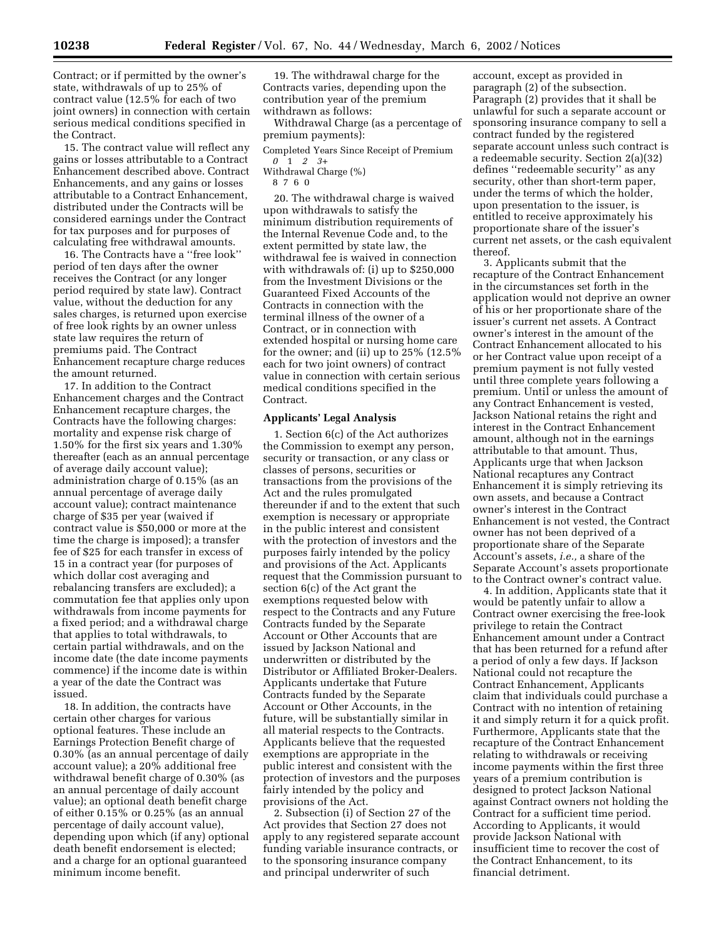Contract; or if permitted by the owner's state, withdrawals of up to 25% of contract value (12.5% for each of two joint owners) in connection with certain serious medical conditions specified in the Contract.

15. The contract value will reflect any gains or losses attributable to a Contract Enhancement described above. Contract Enhancements, and any gains or losses attributable to a Contract Enhancement, distributed under the Contracts will be considered earnings under the Contract for tax purposes and for purposes of calculating free withdrawal amounts.

16. The Contracts have a ''free look'' period of ten days after the owner receives the Contract (or any longer period required by state law). Contract value, without the deduction for any sales charges, is returned upon exercise of free look rights by an owner unless state law requires the return of premiums paid. The Contract Enhancement recapture charge reduces the amount returned.

17. In addition to the Contract Enhancement charges and the Contract Enhancement recapture charges, the Contracts have the following charges: mortality and expense risk charge of 1.50% for the first six years and 1.30% thereafter (each as an annual percentage of average daily account value); administration charge of 0.15% (as an annual percentage of average daily account value); contract maintenance charge of \$35 per year (waived if contract value is \$50,000 or more at the time the charge is imposed); a transfer fee of \$25 for each transfer in excess of 15 in a contract year (for purposes of which dollar cost averaging and rebalancing transfers are excluded); a commutation fee that applies only upon withdrawals from income payments for a fixed period; and a withdrawal charge that applies to total withdrawals, to certain partial withdrawals, and on the income date (the date income payments commence) if the income date is within a year of the date the Contract was issued.

18. In addition, the contracts have certain other charges for various optional features. These include an Earnings Protection Benefit charge of 0.30% (as an annual percentage of daily account value); a 20% additional free withdrawal benefit charge of 0.30% (as an annual percentage of daily account value); an optional death benefit charge of either 0.15% or 0.25% (as an annual percentage of daily account value), depending upon which (if any) optional death benefit endorsement is elected; and a charge for an optional guaranteed minimum income benefit.

19. The withdrawal charge for the Contracts varies, depending upon the contribution year of the premium withdrawn as follows:

Withdrawal Charge (as a percentage of premium payments):

Completed Years Since Receipt of Premium

*0* 1 *2 3+* Withdrawal Charge (%)

8760

20. The withdrawal charge is waived upon withdrawals to satisfy the minimum distribution requirements of the Internal Revenue Code and, to the extent permitted by state law, the withdrawal fee is waived in connection with withdrawals of: (i) up to \$250,000 from the Investment Divisions or the Guaranteed Fixed Accounts of the Contracts in connection with the terminal illness of the owner of a Contract, or in connection with extended hospital or nursing home care for the owner; and (ii) up to 25% (12.5% each for two joint owners) of contract value in connection with certain serious medical conditions specified in the Contract.

## **Applicants' Legal Analysis**

1. Section 6(c) of the Act authorizes the Commission to exempt any person, security or transaction, or any class or classes of persons, securities or transactions from the provisions of the Act and the rules promulgated thereunder if and to the extent that such exemption is necessary or appropriate in the public interest and consistent with the protection of investors and the purposes fairly intended by the policy and provisions of the Act. Applicants request that the Commission pursuant to section 6(c) of the Act grant the exemptions requested below with respect to the Contracts and any Future Contracts funded by the Separate Account or Other Accounts that are issued by Jackson National and underwritten or distributed by the Distributor or Affiliated Broker-Dealers. Applicants undertake that Future Contracts funded by the Separate Account or Other Accounts, in the future, will be substantially similar in all material respects to the Contracts. Applicants believe that the requested exemptions are appropriate in the public interest and consistent with the protection of investors and the purposes fairly intended by the policy and provisions of the Act.

2. Subsection (i) of Section 27 of the Act provides that Section 27 does not apply to any registered separate account funding variable insurance contracts, or to the sponsoring insurance company and principal underwriter of such

account, except as provided in paragraph (2) of the subsection. Paragraph (2) provides that it shall be unlawful for such a separate account or sponsoring insurance company to sell a contract funded by the registered separate account unless such contract is a redeemable security. Section 2(a)(32) defines ''redeemable security'' as any security, other than short-term paper, under the terms of which the holder, upon presentation to the issuer, is entitled to receive approximately his proportionate share of the issuer's current net assets, or the cash equivalent thereof.

3. Applicants submit that the recapture of the Contract Enhancement in the circumstances set forth in the application would not deprive an owner of his or her proportionate share of the issuer's current net assets. A Contract owner's interest in the amount of the Contract Enhancement allocated to his or her Contract value upon receipt of a premium payment is not fully vested until three complete years following a premium. Until or unless the amount of any Contract Enhancement is vested, Jackson National retains the right and interest in the Contract Enhancement amount, although not in the earnings attributable to that amount. Thus, Applicants urge that when Jackson National recaptures any Contract Enhancement it is simply retrieving its own assets, and because a Contract owner's interest in the Contract Enhancement is not vested, the Contract owner has not been deprived of a proportionate share of the Separate Account's assets, *i.e.,* a share of the Separate Account's assets proportionate to the Contract owner's contract value.

4. In addition, Applicants state that it would be patently unfair to allow a Contract owner exercising the free-look privilege to retain the Contract Enhancement amount under a Contract that has been returned for a refund after a period of only a few days. If Jackson National could not recapture the Contract Enhancement, Applicants claim that individuals could purchase a Contract with no intention of retaining it and simply return it for a quick profit. Furthermore, Applicants state that the recapture of the Contract Enhancement relating to withdrawals or receiving income payments within the first three years of a premium contribution is designed to protect Jackson National against Contract owners not holding the Contract for a sufficient time period. According to Applicants, it would provide Jackson National with insufficient time to recover the cost of the Contract Enhancement, to its financial detriment.